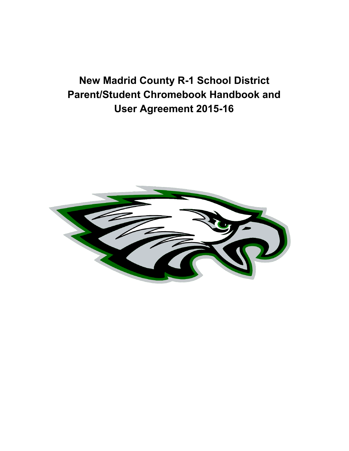# **New Madrid County R-1 School District Parent/Student Chromebook Handbook and User Agreement 2015-16**

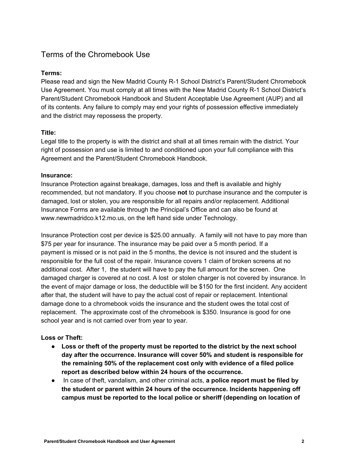# Terms of the Chromebook Use

#### **Terms:**

Please read and sign the New Madrid County R-1 School District's Parent/Student Chromebook Use Agreement. You must comply at all times with the New Madrid County R-1 School District's Parent/Student Chromebook Handbook and Student Acceptable Use Agreement (AUP) and all of its contents. Any failure to comply may end your rights of possession effective immediately and the district may repossess the property.

#### **Title:**

Legal title to the property is with the district and shall at all times remain with the district. Your right of possession and use is limited to and conditioned upon your full compliance with this Agreement and the Parent/Student Chromebook Handbook.

#### **Insurance:**

Insurance Protection against breakage, damages, loss and theft is available and highly recommended, but not mandatory. If you choose **not** to purchase insurance and the computer is damaged, lost or stolen, you are responsible for all repairs and/or replacement. Additional Insurance Forms are available through the Principal's Office and can also be found at www.newmadridco.k12.mo.us, on the left hand side under Technology.

Insurance Protection cost per device is \$25.00 annually. A family will not have to pay more than \$75 per year for insurance. The insurance may be paid over a 5 month period. If a payment is missed or is not paid in the 5 months, the device is not insured and the student is responsible for the full cost of the repair. Insurance covers 1 claim of broken screens at no additional cost. After 1, the student will have to pay the full amount for the screen. One damaged charger is covered at no cost. A lost or stolen charger is not covered by insurance. In the event of major damage or loss, the deductible will be \$150 for the first incident. Any accident after that, the student will have to pay the actual cost of repair or replacement. Intentional damage done to a chromebook voids the insurance and the student owes the total cost of replacement. The approximate cost of the chromebook is \$350. Insurance is good for one school year and is not carried over from year to year.

# **Loss or Theft:**

- **Loss or theft of the property must be reported to the district by the next school day after the occurrence. Insurance will cover 50% and student is responsible for the remaining 50% of the replacement cost only with evidence of a filed police report as described below within 24 hours of the occurrence.**
- In case of theft, vandalism, and other criminal acts, **a police report must be filed by the student or parent within 24 hours of the occurrence. Incidents happening off campus must be reported to the local police or sheriff (depending on location of**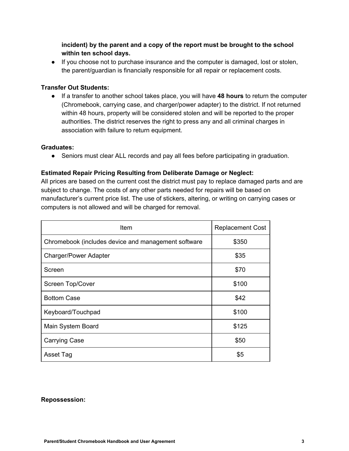**incident) by the parent and a copy of the report must be brought to the school within ten school days.**

● If you choose not to purchase insurance and the computer is damaged, lost or stolen, the parent/guardian is financially responsible for all repair or replacement costs.

#### **Transfer Out Students:**

● If a transfer to another school takes place, you will have **48 hours** to return the computer (Chromebook, carrying case, and charger/power adapter) to the district. If not returned within 48 hours, property will be considered stolen and will be reported to the proper authorities. The district reserves the right to press any and all criminal charges in association with failure to return equipment.

#### **Graduates:**

• Seniors must clear ALL records and pay all fees before participating in graduation.

# **Estimated Repair Pricing Resulting from Deliberate Damage or Neglect:**

All prices are based on the current cost the district must pay to replace damaged parts and are subject to change. The costs of any other parts needed for repairs will be based on manufacturer's current price list. The use of stickers, altering, or writing on carrying cases or computers is not allowed and will be charged for removal.

| Item                                                | <b>Replacement Cost</b> |
|-----------------------------------------------------|-------------------------|
| Chromebook (includes device and management software | \$350                   |
| <b>Charger/Power Adapter</b>                        | \$35                    |
| Screen                                              | \$70                    |
| Screen Top/Cover                                    | \$100                   |
| <b>Bottom Case</b>                                  | \$42                    |
| Keyboard/Touchpad                                   | \$100                   |
| Main System Board                                   | \$125                   |
| <b>Carrying Case</b>                                | \$50                    |
| Asset Tag                                           | \$5                     |

#### **Repossession:**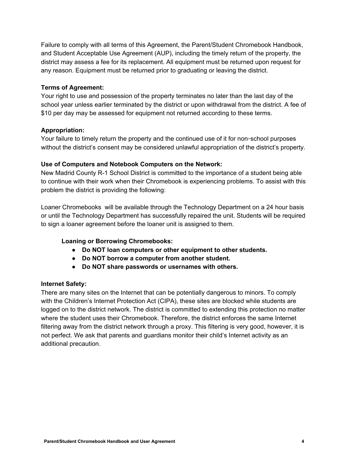Failure to comply with all terms of this Agreement, the Parent/Student Chromebook Handbook, and Student Acceptable Use Agreement (AUP), including the timely return of the property, the district may assess a fee for its replacement. All equipment must be returned upon request for any reason. Equipment must be returned prior to graduating or leaving the district.

#### **Terms of Agreement:**

Your right to use and possession of the property terminates no later than the last day of the school year unless earlier terminated by the district or upon withdrawal from the district. A fee of \$10 per day may be assessed for equipment not returned according to these terms.

#### **Appropriation:**

Your failure to timely return the property and the continued use of it for non-school purposes without the district's consent may be considered unlawful appropriation of the district's property.

#### **Use of Computers and Notebook Computers on the Network:**

New Madrid County R-1 School District is committed to the importance of a student being able to continue with their work when their Chromebook is experiencing problems. To assist with this problem the district is providing the following:

Loaner Chromebooks will be available through the Technology Department on a 24 hour basis or until the Technology Department has successfully repaired the unit. Students will be required to sign a loaner agreement before the loaner unit is assigned to them.

#### **Loaning or Borrowing Chromebooks:**

- **Do NOT loan computers or other equipment to other students.**
- **Do NOT borrow a computer from another student.**
- **Do NOT share passwords or usernames with others.**

#### **Internet Safety:**

There are many sites on the Internet that can be potentially dangerous to minors. To comply with the Children's Internet Protection Act (CIPA), these sites are blocked while students are logged on to the district network. The district is committed to extending this protection no matter where the student uses their Chromebook. Therefore, the district enforces the same Internet filtering away from the district network through a proxy. This filtering is very good, however, it is not perfect. We ask that parents and guardians monitor their child's Internet activity as an additional precaution.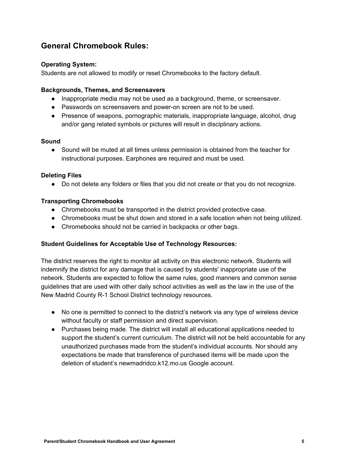# **General Chromebook Rules:**

#### **Operating System:**

Students are not allowed to modify or reset Chromebooks to the factory default.

#### **Backgrounds, Themes, and Screensavers**

- Inappropriate media may not be used as a background, theme, or screensaver.
- Passwords on screensavers and power-on screen are not to be used.
- Presence of weapons, pornographic materials, inappropriate language, alcohol, drug and/or gang related symbols or pictures will result in disciplinary actions.

#### **Sound**

● Sound will be muted at all times unless permission is obtained from the teacher for instructional purposes. Earphones are required and must be used.

#### **Deleting Files**

● Do not delete any folders or files that you did not create or that you do not recognize.

#### **Transporting Chromebooks**

- Chromebooks must be transported in the district provided protective case.
- Chromebooks must be shut down and stored in a safe location when not being utilized.
- Chromebooks should not be carried in backpacks or other bags.

#### **Student Guidelines for Acceptable Use of Technology Resources:**

The district reserves the right to monitor all activity on this electronic network. Students will indemnify the district for any damage that is caused by students' inappropriate use of the network. Students are expected to follow the same rules, good manners and common sense guidelines that are used with other daily school activities as well as the law in the use of the New Madrid County R-1 School District technology resources.

- No one is permitted to connect to the district's network via any type of wireless device without faculty or staff permission and direct supervision.
- Purchases being made. The district will install all educational applications needed to support the student's current curriculum. The district will not be held accountable for any unauthorized purchases made from the student's individual accounts. Nor should any expectations be made that transference of purchased items will be made upon the deletion of student's newmadridco.k12.mo.us Google account.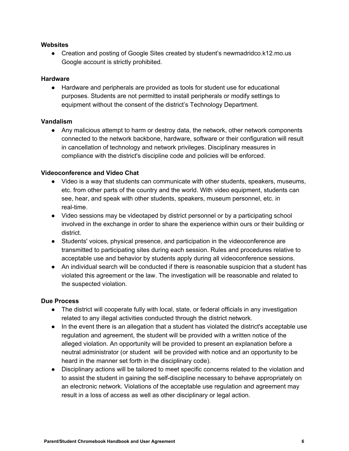#### **Websites**

● Creation and posting of Google Sites created by student's newmadridco.k12.mo.us Google account is strictly prohibited.

#### **Hardware**

● Hardware and peripherals are provided as tools for student use for educational purposes. Students are not permitted to install peripherals or modify settings to equipment without the consent of the district's Technology Department.

#### **Vandalism**

● Any malicious attempt to harm or destroy data, the network, other network components connected to the network backbone, hardware, software or their configuration will result in cancellation of technology and network privileges. Disciplinary measures in compliance with the district's discipline code and policies will be enforced.

#### **Videoconference and Video Chat**

- Video is a way that students can communicate with other students, speakers, museums, etc. from other parts of the country and the world. With video equipment, students can see, hear, and speak with other students, speakers, museum personnel, etc. in real-time.
- Video sessions may be videotaped by district personnel or by a participating school involved in the exchange in order to share the experience within ours or their building or district.
- Students' voices, physical presence, and participation in the videoconference are transmitted to participating sites during each session. Rules and procedures relative to acceptable use and behavior by students apply during all videoconference sessions.
- An individual search will be conducted if there is reasonable suspicion that a student has violated this agreement or the law. The investigation will be reasonable and related to the suspected violation.

#### **Due Process**

- The district will cooperate fully with local, state, or federal officials in any investigation related to any illegal activities conducted through the district network.
- In the event there is an allegation that a student has violated the district's acceptable use regulation and agreement, the student will be provided with a written notice of the alleged violation. An opportunity will be provided to present an explanation before a neutral administrator (or student will be provided with notice and an opportunity to be heard in the manner set forth in the disciplinary code).
- Disciplinary actions will be tailored to meet specific concerns related to the violation and to assist the student in gaining the self-discipline necessary to behave appropriately on an electronic network. Violations of the acceptable use regulation and agreement may result in a loss of access as well as other disciplinary or legal action.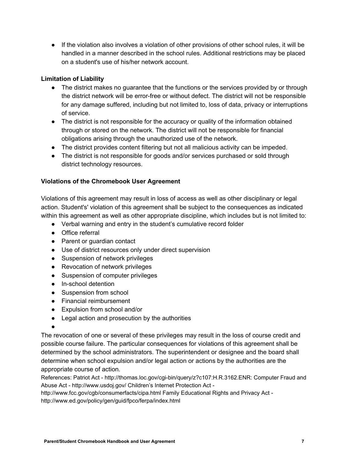● If the violation also involves a violation of other provisions of other school rules, it will be handled in a manner described in the school rules. Additional restrictions may be placed on a student's use of his/her network account.

#### **Limitation of Liability**

- The district makes no guarantee that the functions or the services provided by or through the district network will be error-free or without defect. The district will not be responsible for any damage suffered, including but not limited to, loss of data, privacy or interruptions of service.
- The district is not responsible for the accuracy or quality of the information obtained through or stored on the network. The district will not be responsible for financial obligations arising through the unauthorized use of the network.
- The district provides content filtering but not all malicious activity can be impeded.
- The district is not responsible for goods and/or services purchased or sold through district technology resources.

#### **Violations of the Chromebook User Agreement**

Violations of this agreement may result in loss of access as well as other disciplinary or legal action. Student's' violation of this agreement shall be subject to the consequences as indicated within this agreement as well as other appropriate discipline, which includes but is not limited to:

- Verbal warning and entry in the student's cumulative record folder
- Office referral
- Parent or guardian contact
- Use of district resources only under direct supervision
- Suspension of network privileges
- Revocation of network privileges
- Suspension of computer privileges
- In-school detention
- Suspension from school
- Financial reimbursement
- Expulsion from school and/or
- Legal action and prosecution by the authorities
- ●

The revocation of one or several of these privileges may result in the loss of course credit and possible course failure. The particular consequences for violations of this agreement shall be determined by the school administrators. The superintendent or designee and the board shall determine when school expulsion and/or legal action or actions by the authorities are the appropriate course of action.

References: Patriot Act - http://thomas.loc.gov/cgi-bin/query/z?c107:H.R.3162.ENR: Computer Fraud and Abuse Act - http://www.usdoj.gov/ Children's Internet Protection Act -

http://www.fcc.gov/cgb/consumerfacts/cipa.html Family Educational Rights and Privacy Act http://www.ed.gov/policy/gen/guid/fpco/ferpa/index.html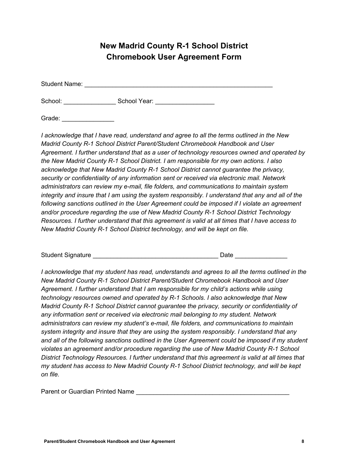# **New Madrid County R-1 School District Chromebook User Agreement Form**

Student Name: **Example 2018** 

School: \_\_\_\_\_\_\_\_\_\_\_\_\_\_\_\_\_\_\_\_\_\_\_\_\_\_ School Year: \_\_\_\_\_\_\_\_\_\_\_\_\_\_\_\_\_\_\_\_\_\_\_\_\_\_\_\_\_\_\_\_

Grade:  $\Box$ 

*I acknowledge that I have read, understand and agree to all the terms outlined in the New Madrid County R-1 School District Parent/Student Chromebook Handbook and User Agreement. I further understand that as a user of technology resources owned and operated by the New Madrid County R-1 School District. I am responsible for my own actions. I also acknowledge that New Madrid County R-1 School District cannot guarantee the privacy, security or confidentiality of any information sent or received via electronic mail. Network administrators can review my e-mail, file folders, and communications to maintain system integrity and insure that I am using the system responsibly. I understand that any and all of the following sanctions outlined in the User Agreement could be imposed if I violate an agreement and/or procedure regarding the use of New Madrid County R-1 School District Technology Resources. I further understand that this agreement is valid at all times that I have access to New Madrid County R-1 School District technology, and will be kept on file.*

| <b>Student Signature</b> |  | Date |  |
|--------------------------|--|------|--|
|--------------------------|--|------|--|

*I acknowledge that my student has read, understands and agrees to all the terms outlined in the New Madrid County R-1 School District Parent/Student Chromebook Handbook and User Agreement. I further understand that I am responsible for my child's actions while using technology resources owned and operated by R-1 Schools. I also acknowledge that New Madrid County R-1 School District cannot guarantee the privacy, security or confidentiality of any information sent or received via electronic mail belonging to my student. Network administrators can review my student's e-mail, file folders, and communications to maintain system integrity and insure that they are using the system responsibly. I understand that any and all of the following sanctions outlined in the User Agreement could be imposed if my student violates an agreement and/or procedure regarding the use of New Madrid County R-1 School District Technology Resources. I further understand that this agreement is valid at all times that my student has access to New Madrid County R-1 School District technology, and will be kept on file.*

Parent or Guardian Printed Name **Warehouse 2018**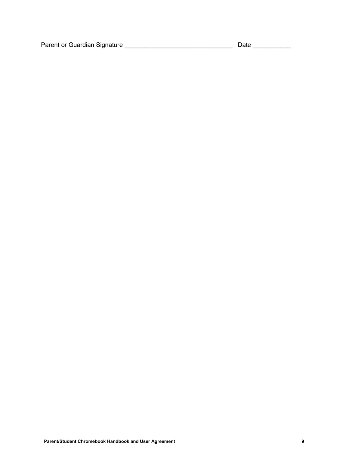Parent or Guardian Signature \_\_\_\_\_\_\_\_\_\_\_\_\_\_\_\_\_\_\_\_\_\_\_\_\_\_\_\_\_\_\_ Date \_\_\_\_\_\_\_\_\_\_\_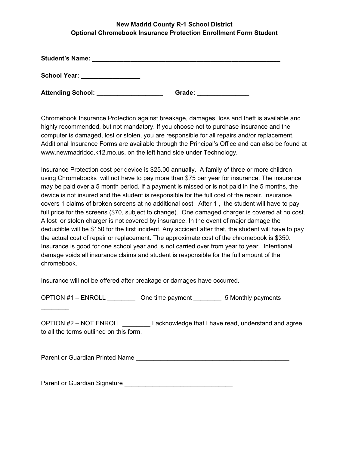#### **New Madrid County R-1 School District Optional Chromebook Insurance Protection Enrollment Form Student**

| <b>Student's Name:</b>   |        |
|--------------------------|--------|
| <b>School Year:</b>      |        |
| <b>Attending School:</b> | Grade: |

Chromebook Insurance Protection against breakage, damages, loss and theft is available and highly recommended, but not mandatory. If you choose not to purchase insurance and the computer is damaged, lost or stolen, you are responsible for all repairs and/or replacement. Additional Insurance Forms are available through the Principal's Office and can also be found at www.newmadridco.k12.mo.us, on the left hand side under Technology.

Insurance Protection cost per device is \$25.00 annually. A family of three or more children using Chromebooks will not have to pay more than \$75 per year for insurance. The insurance may be paid over a 5 month period. If a payment is missed or is not paid in the 5 months, the device is not insured and the student is responsible for the full cost of the repair. Insurance covers 1 claims of broken screens at no additional cost. After 1 , the student will have to pay full price for the screens (\$70, subject to change). One damaged charger is covered at no cost. A lost or stolen charger is not covered by insurance. In the event of major damage the deductible will be \$150 for the first incident. Any accident after that, the student will have to pay the actual cost of repair or replacement. The approximate cost of the chromebook is \$350. Insurance is good for one school year and is not carried over from year to year. Intentional damage voids all insurance claims and student is responsible for the full amount of the chromebook.

Insurance will not be offered after breakage or damages have occurred.

OPTION #1 – ENROLL \_\_\_\_\_\_\_\_ One time payment \_\_\_\_\_\_\_\_ 5 Monthly payments

OPTION #2 – NOT ENROLL \_\_\_\_\_\_\_\_ I acknowledge that I have read, understand and agree to all the terms outlined on this form.

Parent or Guardian Printed Name **Name** 

 $\mathcal{L}$  , we have the set of  $\mathcal{L}$ 

Parent or Guardian Signature \_\_\_\_\_\_\_\_\_\_\_\_\_\_\_\_\_\_\_\_\_\_\_\_\_\_\_\_\_\_\_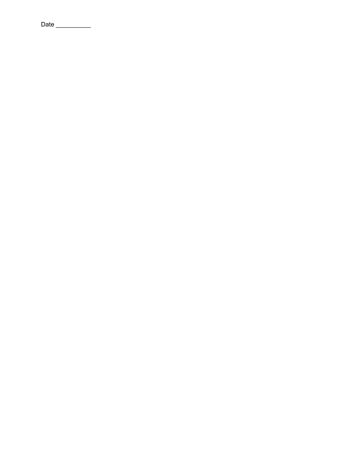Date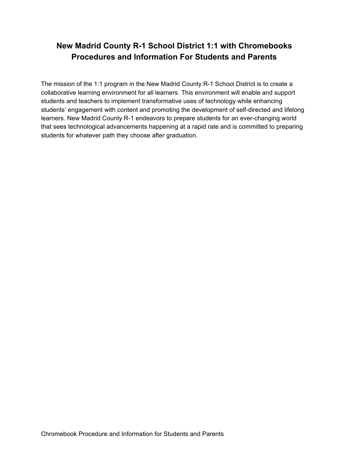# **New Madrid County R-1 School District 1:1 with Chromebooks Procedures and Information For Students and Parents**

The mission of the 1:1 program in the New Madrid County R-1 School District is to create a collaborative learning environment for all learners. This environment will enable and support students and teachers to implement transformative uses of technology while enhancing students' engagement with content and promoting the development of self-directed and lifelong learners. New Madrid County R-1 endeavors to prepare students for an ever-changing world that sees technological advancements happening at a rapid rate and is committed to preparing students for whatever path they choose after graduation.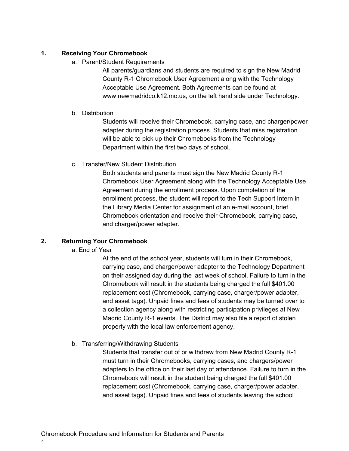#### **1. Receiving Your Chromebook**

a. Parent/Student Requirements

All parents/guardians and students are required to sign the New Madrid County R-1 Chromebook User Agreement along with the Technology Acceptable Use Agreement. Both Agreements can be found at www.newmadridco.k12.mo.us, on the left hand side under Technology.

#### b. Distribution

Students will receive their Chromebook, carrying case, and charger/power adapter during the registration process. Students that miss registration will be able to pick up their Chromebooks from the Technology Department within the first two days of school.

c. Transfer/New Student Distribution

Both students and parents must sign the New Madrid County R-1 Chromebook User Agreement along with the Technology Acceptable Use Agreement during the enrollment process. Upon completion of the enrollment process, the student will report to the Tech Support Intern in the Library Media Center for assignment of an e-mail account, brief Chromebook orientation and receive their Chromebook, carrying case, and charger/power adapter.

# **2. Returning Your Chromebook**

# a. End of Year

At the end of the school year, students will turn in their Chromebook, carrying case, and charger/power adapter to the Technology Department on their assigned day during the last week of school. Failure to turn in the Chromebook will result in the students being charged the full \$401.00 replacement cost (Chromebook, carrying case, charger/power adapter, and asset tags). Unpaid fines and fees of students may be turned over to a collection agency along with restricting participation privileges at New Madrid County R-1 events. The District may also file a report of stolen property with the local law enforcement agency.

# b. Transferring/Withdrawing Students

Students that transfer out of or withdraw from New Madrid County R-1 must turn in their Chromebooks, carrying cases, and chargers/power adapters to the office on their last day of attendance. Failure to turn in the Chromebook will result in the student being charged the full \$401.00 replacement cost (Chromebook, carrying case, charger/power adapter, and asset tags). Unpaid fines and fees of students leaving the school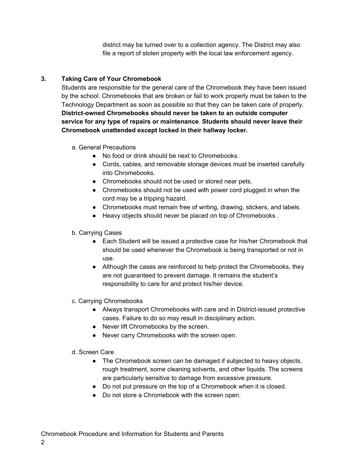district may be turned over to a collection agency. The District may also file a report of stolen property with the local law enforcement agency.

# **3. Taking Care of Your Chromebook**

Students are responsible for the general care of the Chromebook they have been issued by the school. Chromebooks that are broken or fail to work properly must be taken to the Technology Department as soon as possible so that they can be taken care of properly. **District-owned Chromebooks should never be taken to an outside computer service for any type of repairs or maintenance**. **Students should never leave their Chromebook unattended except locked in their hallway locker.**

- a. General Precautions
	- No food or drink should be next to Chromebooks.
	- Cords, cables, and removable storage devices must be inserted carefully into Chromebooks.
	- Chromebooks should not be used or stored near pets.
	- Chromebooks should not be used with power cord plugged in when the cord may be a tripping hazard.
	- Chromebooks must remain free of writing, drawing, stickers, and labels.
	- Heavy objects should never be placed on top of Chromebooks .

# b. Carrying Cases

- Each Student will be issued a protective case for his/her Chromebook that should be used whenever the Chromebook is being transported or not in use.
- Although the cases are reinforced to help protect the Chromebooks, they are not guaranteed to prevent damage. It remains the student's responsibility to care for and protect his/her device.
- c. Carrying Chromebooks
	- Always transport Chromebooks with care and in District-issued protective cases. Failure to do so may result in disciplinary action.
	- Never lift Chromebooks by the screen.
	- Never carry Chromebooks with the screen open.
- d. Screen Care
	- The Chromebook screen can be damaged if subjected to heavy objects, rough treatment, some cleaning solvents, and other liquids. The screens are particularly sensitive to damage from excessive pressure.
	- Do not put pressure on the top of a Chromebook when it is closed.
	- Do not store a Chromebook with the screen open.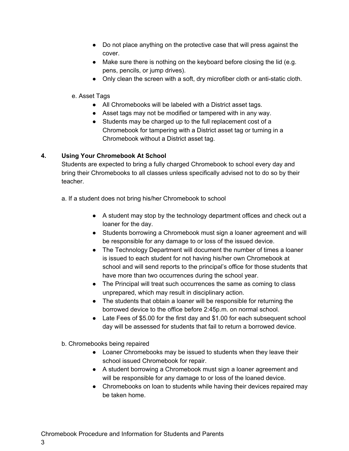- Do not place anything on the protective case that will press against the cover.
- Make sure there is nothing on the keyboard before closing the lid (e.g. pens, pencils, or jump drives).
- Only clean the screen with a soft, dry microfiber cloth or anti-static cloth.

# e. Asset Tags

- All Chromebooks will be labeled with a District asset tags.
- Asset tags may not be modified or tampered with in any way.
- Students may be charged up to the full replacement cost of a Chromebook for tampering with a District asset tag or turning in a Chromebook without a District asset tag.

# **4. Using Your Chromebook At School**

Students are expected to bring a fully charged Chromebook to school every day and bring their Chromebooks to all classes unless specifically advised not to do so by their teacher.

a. If a student does not bring his/her Chromebook to school

- A student may stop by the technology department offices and check out a loaner for the day.
- Students borrowing a Chromebook must sign a loaner agreement and will be responsible for any damage to or loss of the issued device.
- The Technology Department will document the number of times a loaner is issued to each student for not having his/her own Chromebook at school and will send reports to the principal's office for those students that have more than two occurrences during the school year.
- The Principal will treat such occurrences the same as coming to class unprepared, which may result in disciplinary action.
- The students that obtain a loaner will be responsible for returning the borrowed device to the office before 2:45p.m. on normal school.
- Late Fees of \$5.00 for the first day and \$1.00 for each subsequent school day will be assessed for students that fail to return a borrowed device.
- b. Chromebooks being repaired

3

- Loaner Chromebooks may be issued to students when they leave their school issued Chromebook for repair.
- A student borrowing a Chromebook must sign a loaner agreement and will be responsible for any damage to or loss of the loaned device.
- Chromebooks on loan to students while having their devices repaired may be taken home.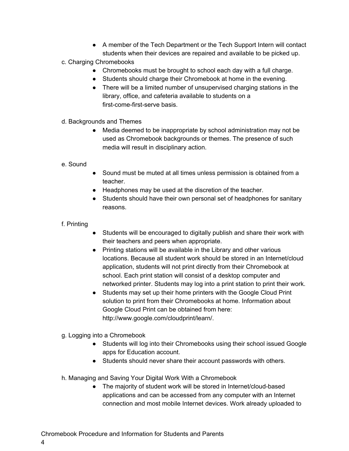● A member of the Tech Department or the Tech Support Intern will contact students when their devices are repaired and available to be picked up.

# c. Charging Chromebooks

- Chromebooks must be brought to school each day with a full charge.
- Students should charge their Chromebook at home in the evening.
- There will be a limited number of unsupervised charging stations in the library, office, and cafeteria available to students on a first-come-first-serve basis.
- d. Backgrounds and Themes
	- Media deemed to be inappropriate by school administration may not be used as Chromebook backgrounds or themes. The presence of such media will result in disciplinary action.

# e. Sound

- Sound must be muted at all times unless permission is obtained from a teacher.
- Headphones may be used at the discretion of the teacher.
- Students should have their own personal set of headphones for sanitary reasons.

# f. Printing

4

- Students will be encouraged to digitally publish and share their work with their teachers and peers when appropriate.
- Printing stations will be available in the Library and other various locations. Because all student work should be stored in an Internet/cloud application, students will not print directly from their Chromebook at school. Each print station will consist of a desktop computer and networked printer. Students may log into a print station to print their work.
- Students may set up their home printers with the Google Cloud Print solution to print from their Chromebooks at home. Information about Google Cloud Print can be obtained from here: http://www.google.com/cloudprint/learn/.

# g. Logging into a Chromebook

- Students will log into their Chromebooks using their school issued Google apps for Education account.
- Students should never share their account passwords with others.
- h. Managing and Saving Your Digital Work With a Chromebook
	- The majority of student work will be stored in Internet/cloud-based applications and can be accessed from any computer with an Internet connection and most mobile Internet devices. Work already uploaded to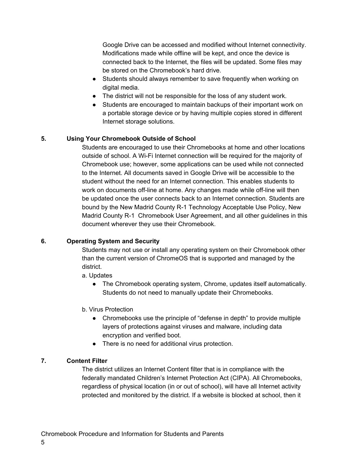Google Drive can be accessed and modified without Internet connectivity. Modifications made while offline will be kept, and once the device is connected back to the Internet, the files will be updated. Some files may be stored on the Chromebook's hard drive.

- Students should always remember to save frequently when working on digital media.
- The district will not be responsible for the loss of any student work.
- Students are encouraged to maintain backups of their important work on a portable storage device or by having multiple copies stored in different Internet storage solutions.

# **5. Using Your Chromebook Outside of School**

Students are encouraged to use their Chromebooks at home and other locations outside of school. A Wi-Fi Internet connection will be required for the majority of Chromebook use; however, some applications can be used while not connected to the Internet. All documents saved in Google Drive will be accessible to the student without the need for an Internet connection. This enables students to work on documents off-line at home. Any changes made while off-line will then be updated once the user connects back to an Internet connection. Students are bound by the New Madrid County R-1 Technology Acceptable Use Policy, New Madrid County R-1 Chromebook User Agreement, and all other guidelines in this document wherever they use their Chromebook.

# **6. Operating System and Security**

Students may not use or install any operating system on their Chromebook other than the current version of ChromeOS that is supported and managed by the district.

- a. Updates
	- The Chromebook operating system, Chrome, updates itself automatically. Students do not need to manually update their Chromebooks.
- b. Virus Protection
	- Chromebooks use the principle of "defense in depth" to provide multiple layers of protections against viruses and malware, including data encryption and verified boot.
	- There is no need for additional virus protection.

# **7. Content Filter**

The district utilizes an Internet Content filter that is in compliance with the federally mandated Children's Internet Protection Act (CIPA). All Chromebooks, regardless of physical location (in or out of school), will have all Internet activity protected and monitored by the district. If a website is blocked at school, then it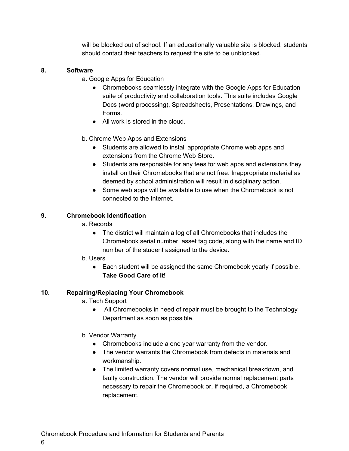will be blocked out of school. If an educationally valuable site is blocked, students should contact their teachers to request the site to be unblocked.

# **8. Software**

- a. Google Apps for Education
	- Chromebooks seamlessly integrate with the Google Apps for Education suite of productivity and collaboration tools. This suite includes Google Docs (word processing), Spreadsheets, Presentations, Drawings, and Forms.
	- All work is stored in the cloud.

# b. Chrome Web Apps and Extensions

- Students are allowed to install appropriate Chrome web apps and extensions from the Chrome Web Store.
- Students are responsible for any fees for web apps and extensions they install on their Chromebooks that are not free. Inappropriate material as deemed by school administration will result in disciplinary action.
- Some web apps will be available to use when the Chromebook is not connected to the Internet.

# **9. Chromebook Identification**

- a. Records
	- The district will maintain a log of all Chromebooks that includes the Chromebook serial number, asset tag code, along with the name and ID number of the student assigned to the device.
- b. Users
	- Each student will be assigned the same Chromebook yearly if possible. **Take Good Care of It!**

# **10. Repairing/Replacing Your Chromebook**

- a. Tech Support
	- All Chromebooks in need of repair must be brought to the Technology Department as soon as possible.
- b. Vendor Warranty
	- Chromebooks include a one year warranty from the vendor.
	- The vendor warrants the Chromebook from defects in materials and workmanship.
	- The limited warranty covers normal use, mechanical breakdown, and faulty construction. The vendor will provide normal replacement parts necessary to repair the Chromebook or, if required, a Chromebook replacement.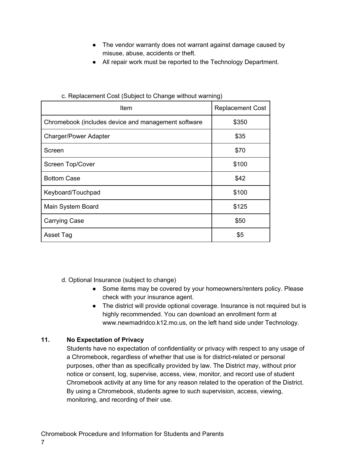- The vendor warranty does not warrant against damage caused by misuse, abuse, accidents or theft.
- All repair work must be reported to the Technology Department.

| Item                                                | <b>Replacement Cost</b> |
|-----------------------------------------------------|-------------------------|
| Chromebook (includes device and management software | \$350                   |
| <b>Charger/Power Adapter</b>                        | \$35                    |
| Screen                                              | \$70                    |
| Screen Top/Cover                                    | \$100                   |
| <b>Bottom Case</b>                                  | \$42                    |
| Keyboard/Touchpad                                   | \$100                   |
| Main System Board                                   | \$125                   |
| <b>Carrying Case</b>                                | \$50                    |
| Asset Tag                                           | \$5                     |

#### c. Replacement Cost (Subject to Change without warning)

d. Optional Insurance (subject to change)

- Some items may be covered by your homeowners/renters policy. Please check with your insurance agent.
- The district will provide optional coverage. Insurance is not required but is highly recommended. You can download an enrollment form at www.newmadridco.k12.mo.us, on the left hand side under Technology.

# **11. No Expectation of Privacy**

Students have no expectation of confidentiality or privacy with respect to any usage of a Chromebook, regardless of whether that use is for district-related or personal purposes, other than as specifically provided by law. The District may, without prior notice or consent, log, supervise, access, view, monitor, and record use of student Chromebook activity at any time for any reason related to the operation of the District. By using a Chromebook, students agree to such supervision, access, viewing, monitoring, and recording of their use.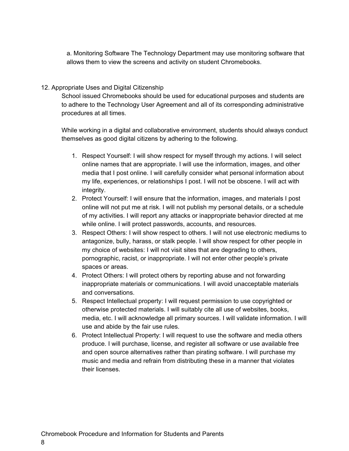a. Monitoring Software The Technology Department may use monitoring software that allows them to view the screens and activity on student Chromebooks.

#### 12. Appropriate Uses and Digital Citizenship

School issued Chromebooks should be used for educational purposes and students are to adhere to the Technology User Agreement and all of its corresponding administrative procedures at all times.

While working in a digital and collaborative environment, students should always conduct themselves as good digital citizens by adhering to the following.

- 1. Respect Yourself: I will show respect for myself through my actions. I will select online names that are appropriate. I will use the information, images, and other media that I post online. I will carefully consider what personal information about my life, experiences, or relationships I post. I will not be obscene. I will act with integrity.
- 2. Protect Yourself: I will ensure that the information, images, and materials I post online will not put me at risk. I will not publish my personal details, or a schedule of my activities. I will report any attacks or inappropriate behavior directed at me while online. I will protect passwords, accounts, and resources.
- 3. Respect Others: I will show respect to others. I will not use electronic mediums to antagonize, bully, harass, or stalk people. I will show respect for other people in my choice of websites: I will not visit sites that are degrading to others, pornographic, racist, or inappropriate. I will not enter other people's private spaces or areas.
- 4. Protect Others: I will protect others by reporting abuse and not forwarding inappropriate materials or communications. I will avoid unacceptable materials and conversations.
- 5. Respect Intellectual property: I will request permission to use copyrighted or otherwise protected materials. I will suitably cite all use of websites, books, media, etc. I will acknowledge all primary sources. I will validate information. I will use and abide by the fair use rules.
- 6. Protect Intellectual Property: I will request to use the software and media others produce. I will purchase, license, and register all software or use available free and open source alternatives rather than pirating software. I will purchase my music and media and refrain from distributing these in a manner that violates their licenses.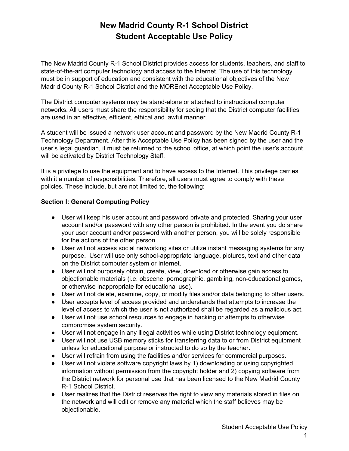# **New Madrid County R-1 School District Student Acceptable Use Policy**

The New Madrid County R-1 School District provides access for students, teachers, and staff to state-of-the-art computer technology and access to the Internet. The use of this technology must be in support of education and consistent with the educational objectives of the New Madrid County R-1 School District and the MOREnet Acceptable Use Policy.

The District computer systems may be stand-alone or attached to instructional computer networks. All users must share the responsibility for seeing that the District computer facilities are used in an effective, efficient, ethical and lawful manner.

A student will be issued a network user account and password by the New Madrid County R-1 Technology Department. After this Acceptable Use Policy has been signed by the user and the user's legal guardian, it must be returned to the school office, at which point the user's account will be activated by District Technology Staff.

It is a privilege to use the equipment and to have access to the Internet. This privilege carries with it a number of responsibilities. Therefore, all users must agree to comply with these policies. These include, but are not limited to, the following:

#### **Section I: General Computing Policy**

- User will keep his user account and password private and protected. Sharing your user account and/or password with any other person is prohibited. In the event you do share your user account and/or password with another person, you will be solely responsible for the actions of the other person.
- User will not access social networking sites or utilize instant messaging systems for any purpose. User will use only school-appropriate language, pictures, text and other data on the District computer system or Internet.
- User will not purposely obtain, create, view, download or otherwise gain access to objectionable materials (i.e. obscene, pornographic, gambling, non-educational games, or otherwise inappropriate for educational use).
- User will not delete, examine, copy, or modify files and/or data belonging to other users.
- User accepts level of access provided and understands that attempts to increase the level of access to which the user is not authorized shall be regarded as a malicious act.
- User will not use school resources to engage in hacking or attempts to otherwise compromise system security.
- User will not engage in any illegal activities while using District technology equipment.
- User will not use USB memory sticks for transferring data to or from District equipment unless for educational purpose or instructed to do so by the teacher.
- User will refrain from using the facilities and/or services for commercial purposes.
- User will not violate software copyright laws by 1) downloading or using copyrighted information without permission from the copyright holder and 2) copying software from the District network for personal use that has been licensed to the New Madrid County R-1 School District.
- User realizes that the District reserves the right to view any materials stored in files on the network and will edit or remove any material which the staff believes may be objectionable.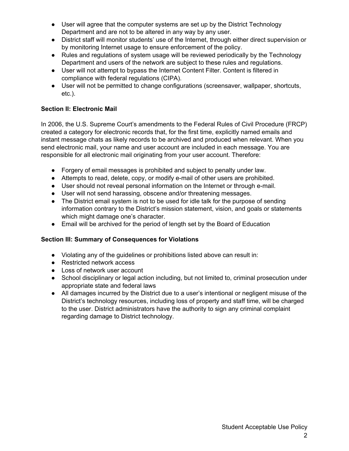- User will agree that the computer systems are set up by the District Technology Department and are not to be altered in any way by any user.
- District staff will monitor students' use of the Internet, through either direct supervision or by monitoring Internet usage to ensure enforcement of the policy.
- Rules and regulations of system usage will be reviewed periodically by the Technology Department and users of the network are subject to these rules and regulations.
- User will not attempt to bypass the Internet Content Filter. Content is filtered in compliance with federal regulations (CIPA).
- User will not be permitted to change configurations (screensaver, wallpaper, shortcuts, etc.).

# **Section II: Electronic Mail**

In 2006, the U.S. Supreme Court's amendments to the Federal Rules of Civil Procedure (FRCP) created a category for electronic records that, for the first time, explicitly named emails and instant message chats as likely records to be archived and produced when relevant. When you send electronic mail, your name and user account are included in each message. You are responsible for all electronic mail originating from your user account. Therefore:

- Forgery of email messages is prohibited and subject to penalty under law.
- Attempts to read, delete, copy, or modify e-mail of other users are prohibited.
- User should not reveal personal information on the Internet or through e-mail.
- User will not send harassing, obscene and/or threatening messages.
- The District email system is not to be used for idle talk for the purpose of sending information contrary to the District's mission statement, vision, and goals or statements which might damage one's character.
- Email will be archived for the period of length set by the Board of Education

# **Section III: Summary of Consequences for Violations**

- Violating any of the guidelines or prohibitions listed above can result in:
- Restricted network access
- Loss of network user account
- School disciplinary or legal action including, but not limited to, criminal prosecution under appropriate state and federal laws
- All damages incurred by the District due to a user's intentional or negligent misuse of the District's technology resources, including loss of property and staff time, will be charged to the user. District administrators have the authority to sign any criminal complaint regarding damage to District technology.